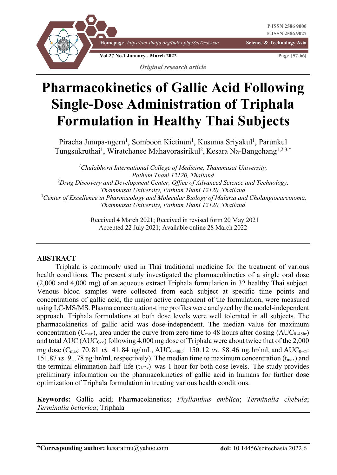

# **Pharmacokinetics of Gallic Acid Following Single-Dose Administration of Triphala Formulation in Healthy Thai Subjects**

Piracha Jumpa-ngern<sup>1</sup>, Somboon Kietinun<sup>1</sup>, Kusuma Sriyakul<sup>1</sup>, Parunkul Tungsukruthai<sup>1</sup>, Wiratchanee Mahavorasirikul<sup>2</sup>, Kesara Na-Bangchang<sup>1,2,3,\*</sup>

*1 Chulabhorn International College of Medicine, Thammasat University, Pathum Thani 12120, Thailand 2 Drug Discovery and Development Center, Office of Advanced Science and Technology, Thammasat University, Pathum Thani 12120, Thailand* <sup>3</sup> Center of Excellence in Pharmacology and Molecular Biology of Malaria and Cholangiocarcinoma, *Thammasat University, Pathum Thani 12120, Thailand*

> Received 4 March 2021; Received in revised form 20 May 2021 Accepted 22 July 2021; Available online 28 March 2022

#### **ABSTRACT**

Triphala is commonly used in Thai traditional medicine for the treatment of various health conditions. The present study investigated the pharmacokinetics of a single oral dose (2,000 and 4,000 mg) of an aqueous extract Triphala formulation in 32 healthy Thai subject. Venous blood samples were collected from each subject at specific time points and concentrations of gallic acid, the major active component of the formulation, were measured using LC-MS/MS. Plasma concentration-time profiles were analyzed by the model-independent approach. Triphala formulations at both dose levels were well tolerated in all subjects. The pharmacokinetics of gallic acid was dose-independent. The median value for maximum concentration (C<sub>max</sub>), area under the curve from zero time to 48 hours after dosing (AUC<sub>0-48hr</sub>) and total AUC (AUC<sub>0-∞</sub>) following 4,000 mg dose of Triphala were about twice that of the 2,000 mg dose ( $C_{\text{max}}$ : 70.81 *vs.* 41.84 ng/mL,  $AUC_{0.48hr}$ : 150.12 *vs.* 88.46 ng.hr/ml, and  $AUC_{0.\infty}$ : 151.87 *vs.* 91.78 ng·hr/ml, respectively). The median time to maximum concentration  $(t_{\text{max}})$  and the terminal elimination half-life ( $t_{1/2z}$ ) was 1 hour for both dose levels. The study provides preliminary information on the pharmacokinetics of gallic acid in humans for further dose optimization of Triphala formulation in treating various health conditions.

**Keywords:** Gallic acid; Pharmacokinetics; *Phyllanthus emblica*; *Terminalia chebula*; *Terminalia bellerica*; Triphala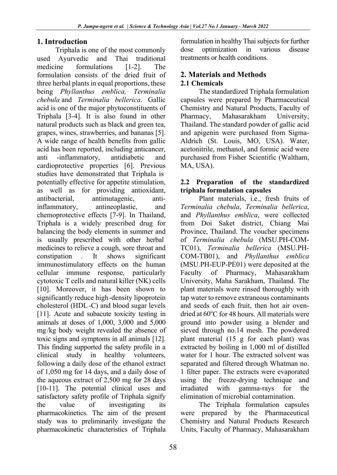## **1. Introduction**

Triphala is one of the most commonly used Ayurvedic and Thai traditional medicine formulations [1-2]. The formulation consists of the dried fruit of three herbal plants in equal proportions, these being *Phyllanthus emblica, Terminalia chebula* and *Terminalia bellerica*. Gallic acid is one of the major phytoconstituents of Triphala [3-4]. It is also found in other natural products such as black and green tea, grapes, wines, strawberries, and bananas [5]. A wide range of health benefits from gallic acid has been reported, including anticancer, anti -inflammatory, antidiabetic and cardioprotective properties [6]. Previous studies have demonstrated that Triphala is potentially effective for appetite stimulation, as well as for providing antioxidant, antibacterial, antimutagenic, antiinflammatory, antineoplastic, and chemoprotective effects [7-9]. In Thailand, Triphala is a widely prescribed drug for balancing the body elements in summer and is usually prescribed with other herbal medicines to relieve a cough, sore throat and constipation . It shows significant immunostimulatory effects on the human cellular immune response, particularly cytotoxic T cells and natural killer (NK) cells [10]. Moreover, it has been shown to significantly reduce high-density lipoprotein cholesterol (HDL-C) and blood sugar levels [11]. Acute and subacute toxicity testing in animals at doses of 1,000, 3,000 and 5,000 mg/kg body weight revealed the absence of toxic signs and symptoms in all animals [12]. This finding supported the safety profile in a clinical study in healthy volunteers, following a daily dose of the ethanol extract of 1,050 mg for 14 days, and a daily dose of the aqueous extract of 2,500 mg for 28 days [10-11]. The potential clinical uses and satisfactory safety profile of Triphala signify the value of investigating its pharmacokinetics. The aim of the present study was to preliminarily investigate the pharmacokinetic characteristics of Triphala

formulation in healthy Thai subjects for further dose optimization in various disease treatments or health conditions.

## **2. Materials and Methods 2.1 Chemicals**

The standardized Triphala formulation capsules were prepared by Pharmaceutical Chemistry and Natural Products, Faculty of Pharmacy, Mahasarakham University, Thailand. The standard powder of gallic acid and apigenin were purchased from Sigma-Aldrich (St. Louis, MO, USA). Water, acetonitrile, methanol, and formic acid were purchased from Fisher Scientific (Waltham, MA, USA).

#### **2.2 Preparation of the standardized triphala formulation capsules**

Plant materials, i.e., fresh fruits of *Terminalia chebula*, *Terminalia bellerica*, and *Phyllanthus emblica*, were collected from Doi Saket district, Chiang Mai Province, Thailand. The voucher specimens of *Terminalia chebula* (MSU.PH-COM-TC01), *Terminalia bellerica* (MSU.PH-COM-TB01), and *Phyllanthus emblica* (MSU.PH-EUP-PE01) were deposited at the Faculty of Pharmacy, Mahasarakham University, Maha Sarakham, Thailand. The plant materials were rinsed thoroughly with tap water to remove extraneous contaminants and seeds of each fruit, then hot air ovendried at 60°C for 48 hours. All materials were ground into powder using a blender and sieved through no.14 mesh. The powdered plant material (15 g for each plant) was extracted by boiling in 1,000 ml of distilled water for 1 hour. The extracted solvent was separated and filtered through Whatman no. 1 filter paper. The extracts were evaporated using the freeze-drying technique and irradiated with gamma-rays for the elimination of microbial contamination.

The Triphala formulation capsules were prepared by the Pharmaceutical Chemistry and Natural Products Research Units, Faculty of Pharmacy, Mahasarakham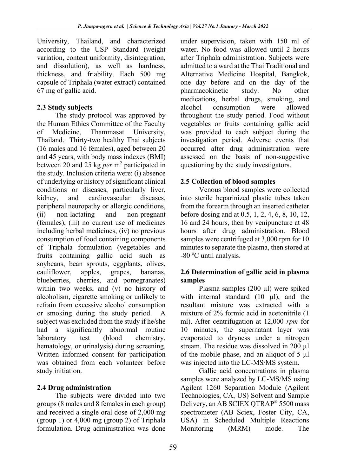University, Thailand, and characterized according to the USP Standard (weight variation, content uniformity, disintegration, and dissolution), as well as hardness, thickness, and friability. Each 500 mg capsule of Triphala (water extract) contained 67 mg of gallic acid.

## **2.3 Study subjects**

The study protocol was approved by the Human Ethics Committee of the Faculty of Medicine, Thammasat University, Thailand. Thirty-two healthy Thai subjects (16 males and 16 females), aged between 20 and 45 years, with body mass indexes (BMI) between 20 and 25 kg *per* m2 participated in the study. Inclusion criteria were: (i) absence of underlying or history of significant clinical conditions or diseases, particularly liver, kidney, and cardiovascular diseases, peripheral neuropathy or allergic conditions, (ii) non-lactating and non-pregnant (females), (iii) no current use of medicines including herbal medicines, (iv) no previous consumption of food containing components of Triphala formulation (vegetables and fruits containing gallic acid such as soybeans, bean sprouts, eggplants, olives, cauliflower, apples, grapes, bananas, blueberries, cherries, and pomegranates) within two weeks, and (v) no history of alcoholism, cigarette smoking or unlikely to refrain from excessive alcohol consumption or smoking during the study period. A subject was excluded from the study if he/she had a significantly abnormal routine laboratory test (blood chemistry, hematology, or urinalysis) during screening. Written informed consent for participation was obtained from each volunteer before study initiation.

## **2.4 Drug administration**

The subjects were divided into two groups (8 males and 8 females in each group) and received a single oral dose of 2,000 mg (group 1) or  $4,000$  mg (group 2) of Triphala formulation. Drug administration was done

under supervision, taken with 150 ml of water. No food was allowed until 2 hours after Triphala administration. Subjects were admitted to a ward at the Thai Traditional and Alternative Medicine Hospital, Bangkok, one day before and on the day of the pharmacokinetic study. No other medications, herbal drugs, smoking, and alcohol consumption were allowed throughout the study period. Food without vegetables or fruits containing gallic acid was provided to each subject during the investigation period. Adverse events that occurred after drug administration were assessed on the basis of non-suggestive questioning by the study investigators.

## **2.5 Collection of blood samples**

Venous blood samples were collected into sterile heparinized plastic tubes taken from the forearm through an inserted catheter before dosing and at 0.5, 1, 2, 4, 6, 8, 10, 12, 16 and 24 hours, then by venipuncture at 48 hours after drug administration. Blood samples were centrifuged at 3,000 rpm for 10 minutes to separate the plasma, then stored at -80 °C until analysis.

#### **2.6 Determination of gallic acid in plasma samples**

Plasma samples (200 µl) were spiked with internal standard  $(10 \mu l)$ , and the resultant mixture was extracted with a mixture of 2% formic acid in acetonitrile (1 ml). After centrifugation at 12,000 *rpm* for 10 minutes, the supernatant layer was evaporated to dryness under a nitrogen stream. The residue was dissolved in 200 µl of the mobile phase, and an aliquot of 5 µl was injected into the LC-MS/MS system.

Gallic acid concentrations in plasma samples were analyzed by LC-MS/MS using Agilent 1260 Separation Module (Agilent Technologies, CA, US) Solvent and Sample Delivery, an AB SCIEX QTRAP® 5500 mass spectrometer (AB Sciex, Foster City, CA, USA) in Scheduled Multiple Reactions Monitoring (MRM) mode. The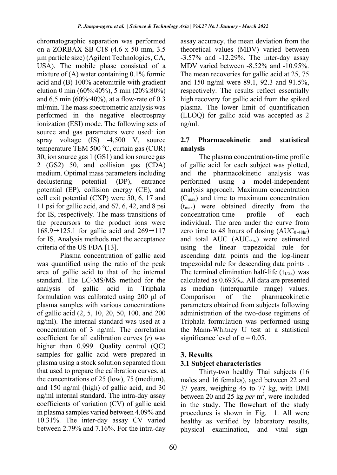chromatographic separation was performed on a ZORBAX SB-C18 (4.6 x 50 mm, 3.5 µm particle size) (Agilent Technologies, CA, USA). The mobile phase consisted of a mixture of  $(A)$  water containing 0.1% formic acid and (B) 100% acetonitrile with gradient elution 0 min (60%:40%), 5 min (20%:80%) and 6.5 min (60%:40%), at a flow-rate of 0.3 ml/min. The mass spectrometric analysis was performed in the negative electrospray ionization (ESI) mode. The following sets of source and gas parameters were used: ion spray voltage (IS) -4,500 V, source temperature TEM 500  $^{\circ}$ C, curtain gas (CUR) 30, ion source gas 1 (GS1) and ion source gas 2 (GS2) 50, and collision gas (CDA) medium. Optimal mass parameters including declustering potential (DP), entrance potential (EP), collision energy (CE), and cell exit potential (CXP) were 50, 6, 17 and 11 psi for gallic acid, and 67, 6, 42, and 8 psi for IS, respectively. The mass transitions of the precursors to the product ions were  $168.9 \rightarrow 125.1$  for gallic acid and  $269 \rightarrow 117$ for IS. Analysis methods met the acceptance criteria of the US FDA [13].

Plasma concentration of gallic acid was quantified using the ratio of the peak area of gallic acid to that of the internal standard. The LC-MS/MS method for the analysis of gallic acid in Triphala formulation was calibrated using 200 μl of plasma samples with various concentrations of gallic acid (2, 5, 10, 20, 50, 100, and 200 ng/ml). The internal standard was used at a concentration of 3 ng/ml. The correlation coefficient for all calibration curves (*r*) was higher than 0.999. Quality control (QC) samples for gallic acid were prepared in plasma using a stock solution separated from that used to prepare the calibration curves, at the concentrations of 25 (low), 75 (medium), and 150 ng/ml (high) of gallic acid, and 30 ng/ml internal standard. The intra-day assay coefficients of variation (CV) of gallic acid in plasma samples varied between 4.09% and 10.31%. The inter-day assay CV varied between 2.79% and 7.16%. For the intra-day

assay accuracy, the mean deviation from the theoretical values (MDV) varied between -3.57% and -12.29%. The inter-day assay MDV varied between -8.52% and -10.95%. The mean recoveries for gallic acid at 25, 75 and 150 ng/ml were 89.1, 92.3 and 91.5%, respectively. The results reflect essentially high recovery for gallic acid from the spiked plasma. The lower limit of quantification (LLOQ) for gallic acid was accepted as 2 ng/ml.

#### **2.7 Pharmacokinetic and statistical analysis**

The plasma concentration-time profile of gallic acid for each subject was plotted, and the pharmacokinetic analysis was performed using a model-independent analysis approach. Maximum concentration  $(C_{\text{max}})$  and time to maximum concentration  $(t_{\text{max}})$  were obtained directly from the concentration-time profile of each individual. The area under the curve from zero time to 48 hours of dosing  $(AUC_{0.48hr})$ and total AUC ( $AUC_{0-\infty}$ ) were estimated using the linear trapezoidal rule for ascending data points and the log-linear trapezoidal rule for descending data points . The terminal elimination half-life  $(t_{1/2z})$  was calculated as  $0.693/\lambda_z$ . All data are presented as median (interquartile range) values. Comparison of the pharmacokinetic parameters obtained from subjects following administration of the two-dose regimens of Triphala formulation was performed using the Mann-Whitney U test at a statistical significance level of  $\alpha = 0.05$ .

## **3. Results**

# **3.1 Subject characteristics**

Thirty-two healthy Thai subjects (16 males and 16 females), aged between 22 and 37 years, weighing 45 to 77 kg, with BMI between 20 and 25 kg *per* m<sup>2</sup>, were included in the study. The flowchart of the study procedures is shown in Fig. 1. All were healthy as verified by laboratory results, physical examination, and vital sign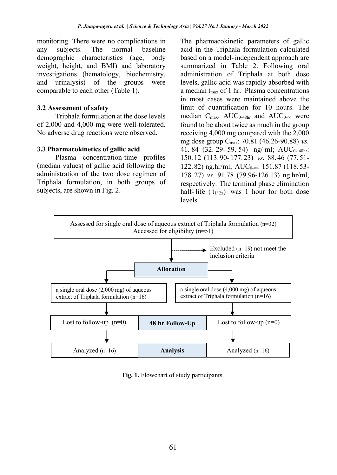monitoring. There were no complications in any subjects. The normal baseline demographic characteristics (age, body weight, height, and BMI) and laboratory investigations (hematology, biochemistry, and urinalysis) of the groups were comparable to each other (Table 1).

#### **3.2 Assessment of safety**

Triphala formulation at the dose levels of 2,000 and 4,000 mg were well-tolerated. No adverse drug reactions were observed.

#### **3.3 Pharmacokinetics of gallic acid**

Plasma concentration-time profiles (median values) of gallic acid following the administration of the two dose regimen of Triphala formulation, in both groups of subjects, are shown in Fig. 2.

The pharmacokinetic parameters of gallic acid in the Triphala formulation calculated based on a model-independent approach are summarized in Table 2. Following oral administration of Triphala at both dose levels, gallic acid was rapidly absorbed with a median  $t_{\text{max}}$  of 1 hr. Plasma concentrations in most cases were maintained above the limit of quantification for 10 hours. The median  $C_{\text{max}}$ , AUC<sub>0-48hr</sub> and AUC<sub>0-∞</sub> were found to be about twice as much in the group receiving 4,000 mg compared with the 2,000 mg dose group Cmax: 70.81 (46.26-90.88) *vs.* 41. 84 (32. 29- 59. 54) ng/ ml; AUC<sub>0- 48hr</sub>: 150. 12 (113. 90- 177. 23) *vs.* 88. 46 (77. 51- 122.82) ng.hr/ml; AUC<sub>0</sub>.∞: 151.87 (118.53-178. 27) *vs.* 91.78 (79.96-126.13) ng.hr/ml, respectively. The terminal phase elimination half-life  $(t_{1/2z})$  was 1 hour for both dose levels.



**Fig. 1.** Flowchart of study participants.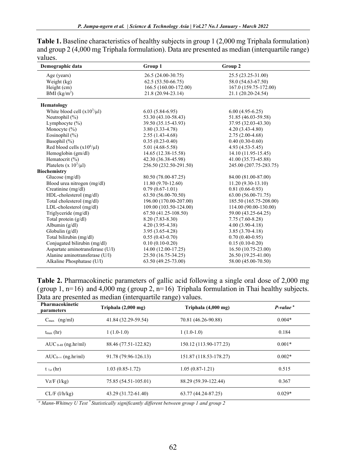**Table 1.** Baseline characteristics of healthy subjects in group 1 (2,000 mg Triphala formulation) and group 2 (4,000 mg Triphala formulation). Data are presented as median (interquartile range) values.

| Demographic data                 | Group 1                | Group 2                |
|----------------------------------|------------------------|------------------------|
| Age (years)                      | 26.5 (24.00-30.75)     | 25.5 (23.25-31.00)     |
| Weight (kg)                      | $62.5(53.50-66.75)$    | 58.0 (54.63-67.50)     |
| Height (cm)                      | 166.5 (160.00-172.00)  | 167.0 (159.75-172.00)  |
| BMI $(kg/m2)$                    | 21.8 (20.94-23.14)     | 21.1 (20.20-24.54)     |
| Hematology                       |                        |                        |
| White blood cell $(x10^3/\mu l)$ | $6.03(5.84-6.95)$      | $6.00(4.95-6.25)$      |
| Neutrophil (%)                   | 53.30 (43.10-58.43)    | 51.85 (46.03-59.58)    |
| Lymphocyte $(\% )$               | 39.50 (35.15-43.93)    | 37.95 (32.03-43.30)    |
| Monocyte $(\% )$                 | $3.80(3.33 - 4.78)$    | $4.20(3.43 - 4.80)$    |
| Eosinophil (%)                   | $2.55(1.43-4.68)$      | $2.75(2.00-4.68)$      |
| Basophil (%)                     | $0.35(0.23-0.40)$      | $0.40(0.30-0.60)$      |
| Red blood cells $(x10^6/\mu l)$  | $5.01(4.68-5.58)$      | $4.93(4.53-5.45)$      |
| Hemoglobin (gm/dl)               | 14.65 (12.38-15.58)    | 14.10 (11.95-15.45)    |
| Hematocrit (%)                   | 42.30 (36.38-45.98)    | 41.00 (35.73-45.88)    |
| Platelets (x $10^3/\mu$ l)       | 256.50 (232.50-291.50) | 245.00 (207.75-283.75) |
| <b>Biochemistry</b>              |                        |                        |
| Glucose $(mg/dl)$                | 80.50 (78.00-87.25)    | 84.00 (81.00-87.00)    |
| Blood urea nitrogen (mg/dl)      | $11.80(9.70-12.60)$    | $11.20(9.30-13.10)$    |
| Creatinine (mg/dl)               | $0.79(0.67-1.01)$      | $0.81(0.66-0.93)$      |
| HDL-cholesterol (mg/dl)          | 63.50 (56.00-70.50)    | 63.00 (56.00-71.75)    |
| Total cholesterol (mg/dl)        | 196.00 (170.00-207.00) | 185.50 (165.75-208.00) |
| LDL-cholesterol (mg/dl)          | 109.00 (103.50-124.00) | 114.00 (90.00-130.00)  |
| Triglyceride (mg/dl)             | 67.50 (41.25-108.50)   | 59.00 (43.25-64.25)    |
| Total protein $(g/dl)$           | $8.20(7.83 - 8.30)$    | 7.75 (7.60-8.28)       |
| Albumin $(g/dl)$                 | $4.20(3.95-4.38)$      | $4.00(3.90 - 4.18)$    |
| Globulin $(g/dl)$                | 3.95 (3.65-4.28)       | $3.85(3.70-4.18)$      |
| Total bilirubin (mg/dl)          | $0.55(0.43-0.70)$      | $0.70(0.40-0.95)$      |
| Conjugated bilirubin (mg/dl)     | $0.10(0.10-0.20)$      | $0.15(0.10-0.20)$      |
| Aspartate aminotransferase (U/l) | $14.00(12.00-17.25)$   | 16.50 (10.75-23.00)    |
| Alanine aminotransferase (U/l)   | 25.50 (16.75-34.25)    | 26.50 (19.25-41.00)    |
| Alkaline Phosphatase (U/l)       | 63.50 (49.25-73.00)    | 58.00 (45.00-70.50)    |

**Table 2.** Pharmacokinetic parameters of gallic acid following a single oral dose of 2,000 mg (group 1,  $n=16$ ) and 4,000 mg (group 2,  $n=16$ ) Triphala formulation in Thai healthy subjects. Data are presented as median (interquartile range) values.

| Pharmacokinetic<br>parameters | Triphala (2,000 mg)  | Triphala (4,000 mg)    | $P-valuea$ |
|-------------------------------|----------------------|------------------------|------------|
| $C_{\text{max}}$ (ng/ml)      | 41.84 (32.29-59.54)  | 70.81 (46.26-90.88)    | $0.004*$   |
| $t_{\rm max}$ (hr)            | $1(1.0-1.0)$         | $1(1.0-1.0)$           | 0.184      |
| $AUC_{0-48}$ (ng.hr/ml)       | 88.46 (77.51-122.82) | 150.12 (113.90-177.23) | $0.001*$   |
| $AUC_{0-\infty}$ (ng.hr/ml)   | 91.78 (79.96-126.13) | 151.87 (118.53-178.27) | $0.002*$   |
| $t_{\frac{1}{2}}$ (hr)        | $1.03(0.85-1.72)$    | $1.05(0.87-1.21)$      | 0.515      |
| Vz/F (l/kg)                   | 75.85 (54.51-105.01) | 88.29 (59.39-122.44)   | 0.367      |
| $CL/F$ ( $1/h/kg$ )           | 43.29 (31.72-61.40)  | 63.77 (44.24-87.25)    | $0.029*$   |

*<sup>a</sup> Mann-Whitney U Test \* Statistically significantly different between group 1 and group 2*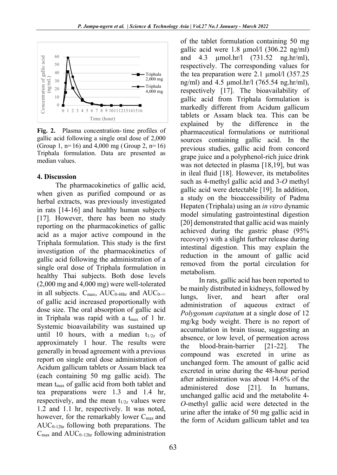

**Fig. 2.** Plasma concentration- time profiles of gallic acid following a single oral dose of 2,000 (Group 1,  $n=16$ ) and 4,000 mg (Group 2,  $n=16$ ) Triphala formulation. Data are presented as median values.

#### **4. Discussion**

The pharmacokinetics of gallic acid, when given as purified compound or as herbal extracts, was previously investigated in rats [14-16] and healthy human subjects [17]. However, there has been no study reporting on the pharmacokinetics of gallic acid as a major active compound in the Triphala formulation. This study is the first investigation of the pharmacokinetics of gallic acid following the administration of a single oral dose of Triphala formulation in healthy Thai subjects. Both dose levels (2,000 mg and 4,000 mg) were well-tolerated in all subjects.  $C_{\text{max}}$ , AUC<sub>0-48hr</sub> and AUC<sub>0-∞</sub> of gallic acid increased proportionally with dose size. The oral absorption of gallic acid in Triphala was rapid with a  $t_{\text{max}}$  of 1 hr. Systemic bioavailability was sustained up until 10 hours, with a median  $t_{1/2z}$  of approximately 1 hour. The results were generally in broad agreement with a previous report on single oral dose administration of Acidum gallicum tablets or Assam black tea (each containing 50 mg gallic acid). The mean  $t_{\text{max}}$  of gallic acid from both tablet and tea preparations were 1.3 and 1.4 hr, respectively, and the mean  $t_{1/2z}$  values were 1.2 and 1.1 hr, respectively. It was noted, however, for the remarkably lower C<sub>max</sub> and  $AUC_{0-12hr}$  following both preparations. The  $C_{\text{max}}$  and  $AUC_{0-12hr}$  following administration

of the tablet formulation containing 50 mg gallic acid were  $1.8 \mu$ mol/l (306.22 ng/ml) and 4.3 µmol.hr/l (731.52 ng.hr/ml), respectively. The corresponding values for the tea preparation were 2.1 µmol/l (357.25 ng/ml) and 4.5 μmol.hr/l (765.54 ng.hr/ml), respectively [17]. The bioavailability of gallic acid from Triphala formulation is markedly different from Acidum gallicum tablets or Assam black tea. This can be explained by the difference in the pharmaceutical formulations or nutritional sources containing gallic acid. In the previous studies, gallic acid from concord grape juice and a polyphenol-rich juice drink was not detected in plasma [18,19], but was in ileal fluid [18]. However, its metabolites such as 4-methyl gallic acid and 3-*O* methyl gallic acid were detectable [19]. In addition, a study on the bioaccessibility of Padma Hepaten (Triphala) using an *in vitro* dynamic model simulating gastrointestinal digestion [20] demonstrated that gallic acid was mainly achieved during the gastric phase (95% recovery) with a slight further release during intestinal digestion. This may explain the reduction in the amount of gallic acid removed from the portal circulation for metabolism.

In rats, gallic acid has been reported to be mainly distributed in kidneys, followed by lungs, liver, and heart after oral administration of aqueous extract of *Polygonum capitatum* at a single dose of 12 mg/kg body weight. There is no report of accumulation in brain tissue, suggesting an absence, or low level, of permeation across the blood-brain-barrier [21-22]. The compound was excreted in urine as unchanged form. The amount of gallic acid excreted in urine during the 48-hour period after administration was about 14.6% of the administered dose [21]. In humans, unchanged gallic acid and the metabolite 4- *O*-methyl gallic acid were detected in the urine after the intake of 50 mg gallic acid in the form of Acidum gallicum tablet and tea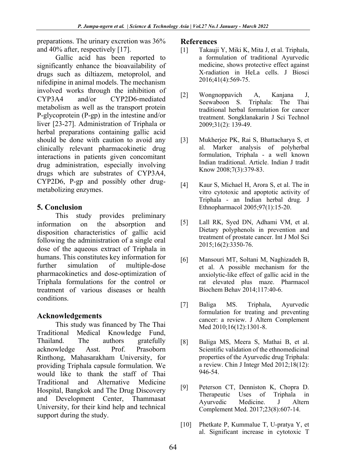preparations. The urinary excretion was 36% and 40% after, respectively [17].

Gallic acid has been reported to significantly enhance the bioavailability of drugs such as diltiazem, metoprolol, and nifedipine in animal models. The mechanism involved works through the inhibition of CYP3A4 and/or CYP2D6-mediated metabolism as well as the transport protein P-glycoprotein (P-gp) in the intestine and/or liver [23-27]. Administration of Triphala or herbal preparations containing gallic acid should be done with caution to avoid any clinically relevant pharmacokinetic drug interactions in patients given concomitant drug administration, especially involving drugs which are substrates of CYP3A4, CYP2D6, P-gp and possibly other drugmetabolizing enzymes.

## **5. Conclusion**

This study provides preliminary information on the absorption and disposition characteristics of gallic acid following the administration of a single oral dose of the aqueous extract of Triphala in humans. This constitutes key information for further simulation of multiple-dose pharmacokinetics and dose-optimization of Triphala formulations for the control or treatment of various diseases or health conditions.

## **Acknowledgements**

This study was financed by The Thai Traditional Medical Knowledge Fund, Thailand. The authors gratefully acknowledge Asst. Prof. Prasoborn Rinthong, Mahasarakham University, for providing Triphala capsule formulation. We would like to thank the staff of Thai Traditional and Alternative Medicine Hospital, Bangkok and The Drug Discovery and Development Center, Thammasat University, for their kind help and technical support during the study.

#### **References**

- [1] Takauji Y, Miki K, Mita J, et al. Triphala, a formulation of traditional Ayurvedic medicine, shows protective effect against X-radiation in HeLa cells. J Biosci 2016;41(4):569-75.
- [2] Wongnoppavich A, Kanjana J, Seewaboon S. Triphala: The Thai traditional herbal formulation for cancer treatment. Songklanakarin J Sci Technol 2009;31(2): 139-49.
- [3] Mukherjee PK, Rai S, Bhattacharya S, et al. Marker analysis of polyherbal formulation, Triphala - a well known Indian traditional. Article. Indian J tradit Know 2008;7(3):379-83.
- [4] Kaur S, Michael H, Arora S, et al. The in vitro cytotoxic and apoptotic activity of Triphala - an Indian herbal drug. J Ethnopharmacol 2005;97(1):15-20.
- [5] Lall RK, Syed DN, Adhami VM, et al. Dietary polyphenols in prevention and treatment of prostate cancer. Int J Mol Sci 2015;16(2):3350-76.
- [6] Mansouri MT, Soltani M, Naghizadeh B, et al. A possible mechanism for the anxiolytic-like effect of gallic acid in the rat elevated plus maze. Pharmacol Biochem Behav 2014;117:40-6.
- [7] Baliga MS. Triphala, Ayurvedic formulation for treating and preventing cancer: a review. J Altern Complement Med 2010;16(12):1301-8.
- [8] Baliga MS, Meera S, Mathai B, et al. Scientific validation of the ethnomedicinal properties of the Ayurvedic drug Triphala: a review. Chin J Integr Med 2012;18(12): 946-54.
- [9] Peterson CT, Denniston K, Chopra D. Therapeutic Uses of Triphala in Ayurvedic Medicine. J Altern Complement Med. 2017;23(8):607-14.
- [10] Phetkate P, Kummalue T, U-pratya Y, et al. Significant increase in cytotoxic T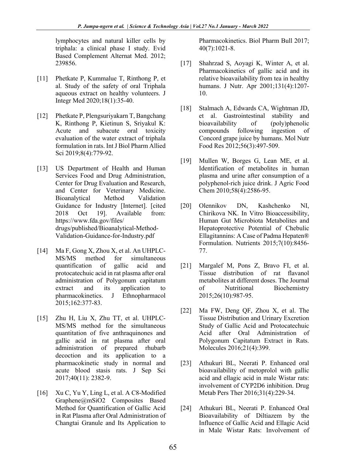lymphocytes and natural killer cells by triphala: a clinical phase I study. Evid Based Complement Alternat Med. 2012; 239856.

- [11] Phetkate P, Kummalue T, Rinthong P, et al. Study of the safety of oral Triphala aqueous extract on healthy volunteers. J Integr Med 2020;18(1):35-40.
- [12] Phetkate P, Plengsuriyakarn T, Bangchang K, Rinthong P, Kietinun S, Sriyakul K: Acute and subacute oral toxicity evaluation of the water extract of triphala formulation in rats. Int J Biol Pharm Allied Sci 2019;8(4):779-92.
- [13] US Department of Health and Human Services Food and Drug Administration, Center for Drug Evaluation and Research, and Center for Veterinary Medicine. Bioanalytical Method Validation Guidance for Industry [Internet]. [cited 2018 Oct 19]. Available from: https://www.fda.gov/files/ drugs/published/Bioanalytical-Method-Validation-Guidance-for-Industry.pdf
- [14] Ma F, Gong X, Zhou X, et al. An UHPLC-MS/MS method for simultaneous quantification of gallic acid and protocatechuic acid in rat plasma after oral administration of Polygonum capitatum extract and its application to pharmacokinetics. J Ethnopharmacol 2015;162:377-83.
- [15] Zhu H, Liu X, Zhu TT, et al. UHPLC-MS/MS method for the simultaneous quantitation of five anthraquinones and gallic acid in rat plasma after oral administration of prepared rhubarb decoction and its application to a pharmacokinetic study in normal and acute blood stasis rats. J Sep Sci 2017;40(11): 2382-9.
- [16] Xu C, Yu Y, Ling L, et al. A C8-Modified Graphene@mSiO2 Composites Based Method for Quantification of Gallic Acid in Rat Plasma after Oral Administration of Changtai Granule and Its Application to

Pharmacokinetics. Biol Pharm Bull 2017; 40(7):1021-8.

- [17] Shahrzad S, Aoyagi K, Winter A, et al. Pharmacokinetics of gallic acid and its relative bioavailability from tea in healthy humans. J Nutr. Apr 2001;131(4):1207- 10.
- [18] Stalmach A, Edwards CA, Wightman JD, et al. Gastrointestinal stability and bioavailability of (poly)phenolic compounds following ingestion of Concord grape juice by humans. Mol Nutr Food Res 2012;56(3):497-509.
- [19] Mullen W, Borges G, Lean ME, et al. Identification of metabolites in human plasma and urine after consumption of a polyphenol-rich juice drink. J Agric Food Chem 2010;58(4):2586-95.
- [20] Olennikov DN, Kashchenko NI, Chirikova NK. In Vitro Bioaccessibility, Human Gut Microbiota Metabolites and Hepatoprotective Potential of Chebulic Ellagitannins: A Case of Padma Hepaten® Formulation. Nutrients 2015;7(10):8456- 77.
- [21] Margalef M, Pons Z, Bravo FI, et al. Tissue distribution of rat flavanol metabolites at different doses. The Journal of Nutritional Biochemistry 2015;26(10):987-95.
- [22] Ma FW, Deng QF, Zhou X, et al. The Tissue Distribution and Urinary Excretion Study of Gallic Acid and Protocatechuic Acid after Oral Administration of Polygonum Capitatum Extract in Rats. Molecules 2016;21(4):399.
- [23] Athukuri BL, Neerati P. Enhanced oral bioavailability of metoprolol with gallic acid and ellagic acid in male Wistar rats: involvement of CYP2D6 inhibition. Drug Metab Pers Ther 2016;31(4):229-34.
- [24] Athukuri BL, Neerati P. Enhanced Oral Bioavailability of Diltiazem by the Influence of Gallic Acid and Ellagic Acid in Male Wistar Rats: Involvement of